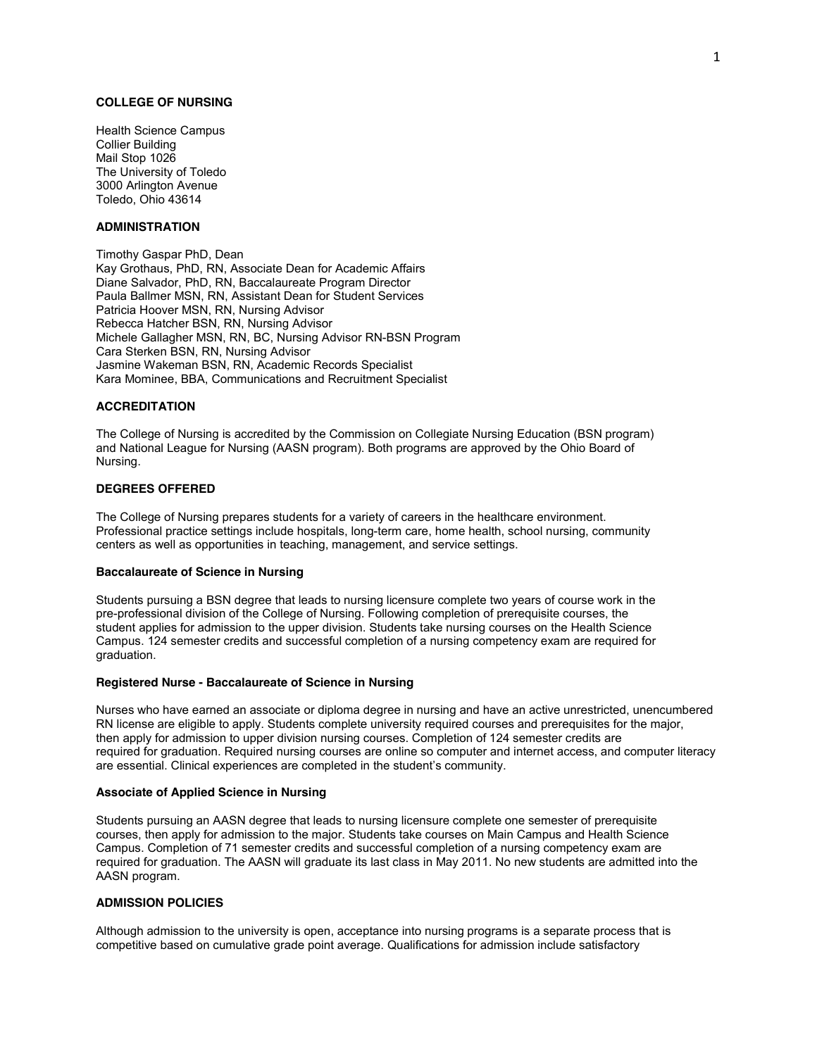## **COLLEGE OF NURSING**

Health Science Campus Collier Building Mail Stop 1026 The University of Toledo 3000 Arlington Avenue Toledo, Ohio 43614

# **ADMINISTRATION**

Timothy Gaspar PhD, Dean Kay Grothaus, PhD, RN, Associate Dean for Academic Affairs Diane Salvador, PhD, RN, Baccalaureate Program Director Paula Ballmer MSN, RN, Assistant Dean for Student Services Patricia Hoover MSN, RN, Nursing Advisor Rebecca Hatcher BSN, RN, Nursing Advisor Michele Gallagher MSN, RN, BC, Nursing Advisor RN-BSN Program Cara Sterken BSN, RN, Nursing Advisor Jasmine Wakeman BSN, RN, Academic Records Specialist Kara Mominee, BBA, Communications and Recruitment Specialist

# **ACCREDITATION**

The College of Nursing is accredited by the Commission on Collegiate Nursing Education (BSN program) and National League for Nursing (AASN program). Both programs are approved by the Ohio Board of Nursing.

### **DEGREES OFFERED**

The College of Nursing prepares students for a variety of careers in the healthcare environment. Professional practice settings include hospitals, long-term care, home health, school nursing, community centers as well as opportunities in teaching, management, and service settings.

### **Baccalaureate of Science in Nursing**

Students pursuing a BSN degree that leads to nursing licensure complete two years of course work in the pre-professional division of the College of Nursing. Following completion of prerequisite courses, the student applies for admission to the upper division. Students take nursing courses on the Health Science Campus. 124 semester credits and successful completion of a nursing competency exam are required for graduation.

#### **Registered Nurse - Baccalaureate of Science in Nursing**

Nurses who have earned an associate or diploma degree in nursing and have an active unrestricted, unencumbered RN license are eligible to apply. Students complete university required courses and prerequisites for the major, then apply for admission to upper division nursing courses. Completion of 124 semester credits are required for graduation. Required nursing courses are online so computer and internet access, and computer literacy are essential. Clinical experiences are completed in the student's community.

#### **Associate of Applied Science in Nursing**

Students pursuing an AASN degree that leads to nursing licensure complete one semester of prerequisite courses, then apply for admission to the major. Students take courses on Main Campus and Health Science Campus. Completion of 71 semester credits and successful completion of a nursing competency exam are required for graduation. The AASN will graduate its last class in May 2011. No new students are admitted into the AASN program.

## **ADMISSION POLICIES**

Although admission to the university is open, acceptance into nursing programs is a separate process that is competitive based on cumulative grade point average. Qualifications for admission include satisfactory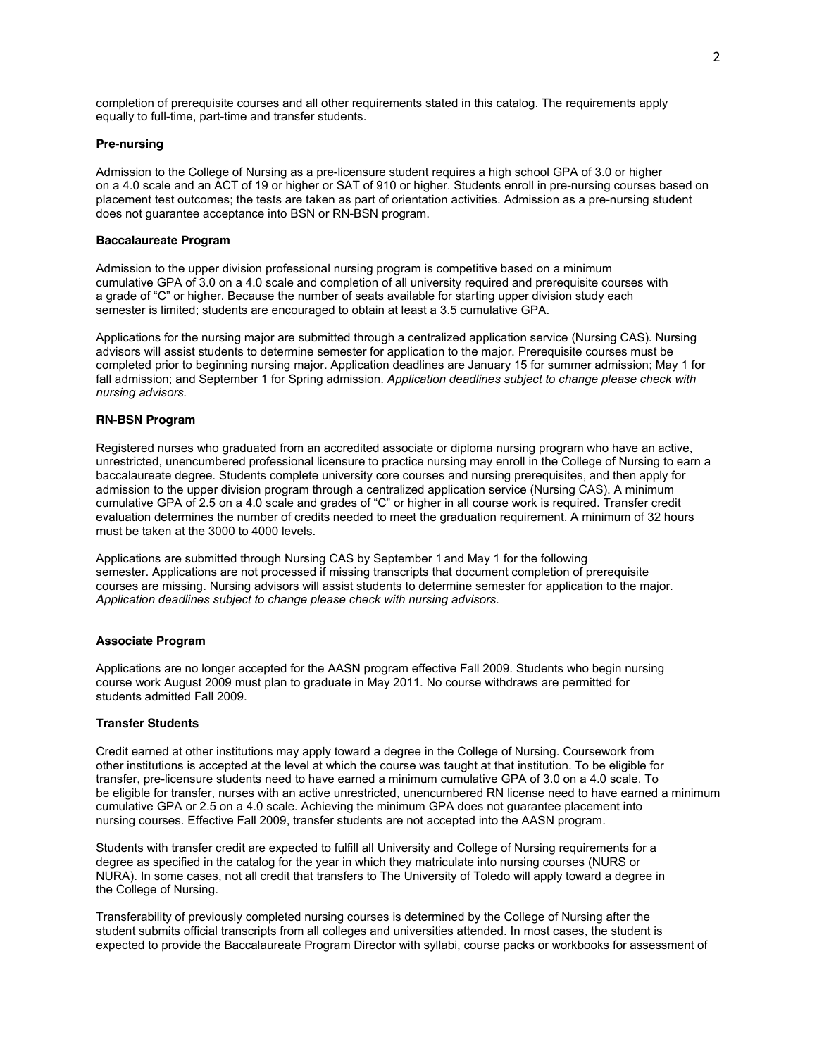completion of prerequisite courses and all other requirements stated in this catalog. The requirements apply equally to full-time, part-time and transfer students.

#### **Pre-nursing**

Admission to the College of Nursing as a pre-licensure student requires a high school GPA of 3.0 or higher on a 4.0 scale and an ACT of 19 or higher or SAT of 910 or higher. Students enroll in pre-nursing courses based on placement test outcomes; the tests are taken as part of orientation activities. Admission as a pre-nursing student does not guarantee acceptance into BSN or RN-BSN program.

# **Baccalaureate Program**

Admission to the upper division professional nursing program is competitive based on a minimum cumulative GPA of 3.0 on a 4.0 scale and completion of all university required and prerequisite courses with a grade of "C" or higher. Because the number of seats available for starting upper division study each semester is limited; students are encouraged to obtain at least a 3.5 cumulative GPA.

Applications for the nursing major are submitted through a centralized application service (Nursing CAS). Nursing advisors will assist students to determine semester for application to the major. Prerequisite courses must be completed prior to beginning nursing major. Application deadlines are January 15 for summer admission; May 1 for fall admission; and September 1 for Spring admission. *Application deadlines subject to change please check with nursing advisors.*

#### **RN-BSN Program**

Registered nurses who graduated from an accredited associate or diploma nursing program who have an active, unrestricted, unencumbered professional licensure to practice nursing may enroll in the College of Nursing to earn a baccalaureate degree. Students complete university core courses and nursing prerequisites, and then apply for admission to the upper division program through a centralized application service (Nursing CAS). A minimum cumulative GPA of 2.5 on a 4.0 scale and grades of "C" or higher in all course work is required. Transfer credit evaluation determines the number of credits needed to meet the graduation requirement. A minimum of 32 hours must be taken at the 3000 to 4000 levels.

Applications are submitted through Nursing CAS by September 1 and May 1 for the following semester. Applications are not processed if missing transcripts that document completion of prerequisite courses are missing. Nursing advisors will assist students to determine semester for application to the major. *Application deadlines subject to change please check with nursing advisors.*

#### **Associate Program**

Applications are no longer accepted for the AASN program effective Fall 2009. Students who begin nursing course work August 2009 must plan to graduate in May 2011. No course withdraws are permitted for students admitted Fall 2009.

### **Transfer Students**

Credit earned at other institutions may apply toward a degree in the College of Nursing. Coursework from other institutions is accepted at the level at which the course was taught at that institution. To be eligible for transfer, pre-licensure students need to have earned a minimum cumulative GPA of 3.0 on a 4.0 scale. To be eligible for transfer, nurses with an active unrestricted, unencumbered RN license need to have earned a minimum cumulative GPA or 2.5 on a 4.0 scale. Achieving the minimum GPA does not guarantee placement into nursing courses. Effective Fall 2009, transfer students are not accepted into the AASN program.

Students with transfer credit are expected to fulfill all University and College of Nursing requirements for a degree as specified in the catalog for the year in which they matriculate into nursing courses (NURS or NURA). In some cases, not all credit that transfers to The University of Toledo will apply toward a degree in the College of Nursing.

Transferability of previously completed nursing courses is determined by the College of Nursing after the student submits official transcripts from all colleges and universities attended. In most cases, the student is expected to provide the Baccalaureate Program Director with syllabi, course packs or workbooks for assessment of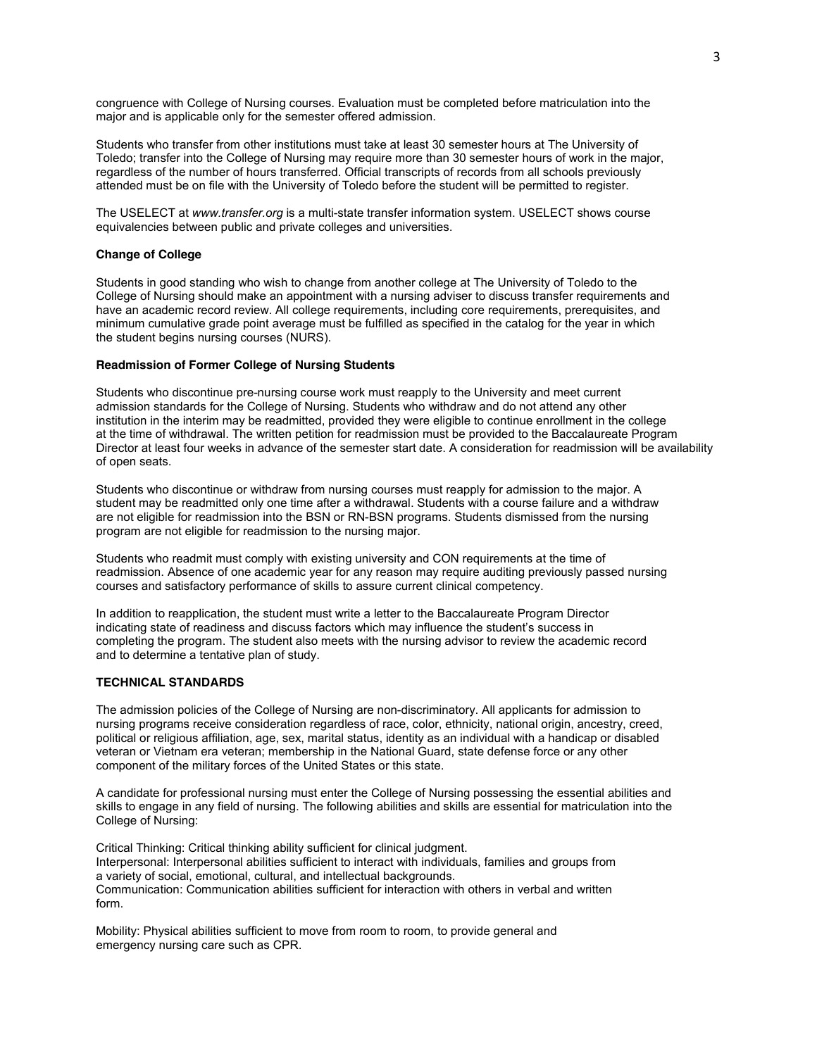congruence with College of Nursing courses. Evaluation must be completed before matriculation into the major and is applicable only for the semester offered admission.

Students who transfer from other institutions must take at least 30 semester hours at The University of Toledo; transfer into the College of Nursing may require more than 30 semester hours of work in the major, regardless of the number of hours transferred. Official transcripts of records from all schools previously attended must be on file with the University of Toledo before the student will be permitted to register.

The USELECT at *www.transfer.org* is a multi-state transfer information system. USELECT shows course equivalencies between public and private colleges and universities.

### **Change of College**

Students in good standing who wish to change from another college at The University of Toledo to the College of Nursing should make an appointment with a nursing adviser to discuss transfer requirements and have an academic record review. All college requirements, including core requirements, prerequisites, and minimum cumulative grade point average must be fulfilled as specified in the catalog for the year in which the student begins nursing courses (NURS).

#### **Readmission of Former College of Nursing Students**

Students who discontinue pre-nursing course work must reapply to the University and meet current admission standards for the College of Nursing. Students who withdraw and do not attend any other institution in the interim may be readmitted, provided they were eligible to continue enrollment in the college at the time of withdrawal. The written petition for readmission must be provided to the Baccalaureate Program Director at least four weeks in advance of the semester start date. A consideration for readmission will be availability of open seats.

Students who discontinue or withdraw from nursing courses must reapply for admission to the major. A student may be readmitted only one time after a withdrawal. Students with a course failure and a withdraw are not eligible for readmission into the BSN or RN-BSN programs. Students dismissed from the nursing program are not eligible for readmission to the nursing major.

Students who readmit must comply with existing university and CON requirements at the time of readmission. Absence of one academic year for any reason may require auditing previously passed nursing courses and satisfactory performance of skills to assure current clinical competency.

In addition to reapplication, the student must write a letter to the Baccalaureate Program Director indicating state of readiness and discuss factors which may influence the student's success in completing the program. The student also meets with the nursing advisor to review the academic record and to determine a tentative plan of study.

# **TECHNICAL STANDARDS**

The admission policies of the College of Nursing are non-discriminatory. All applicants for admission to nursing programs receive consideration regardless of race, color, ethnicity, national origin, ancestry, creed, political or religious affiliation, age, sex, marital status, identity as an individual with a handicap or disabled veteran or Vietnam era veteran; membership in the National Guard, state defense force or any other component of the military forces of the United States or this state.

A candidate for professional nursing must enter the College of Nursing possessing the essential abilities and skills to engage in any field of nursing. The following abilities and skills are essential for matriculation into the College of Nursing:

Critical Thinking: Critical thinking ability sufficient for clinical judgment. Interpersonal: Interpersonal abilities sufficient to interact with individuals, families and groups from a variety of social, emotional, cultural, and intellectual backgrounds. Communication: Communication abilities sufficient for interaction with others in verbal and written form.

Mobility: Physical abilities sufficient to move from room to room, to provide general and emergency nursing care such as CPR.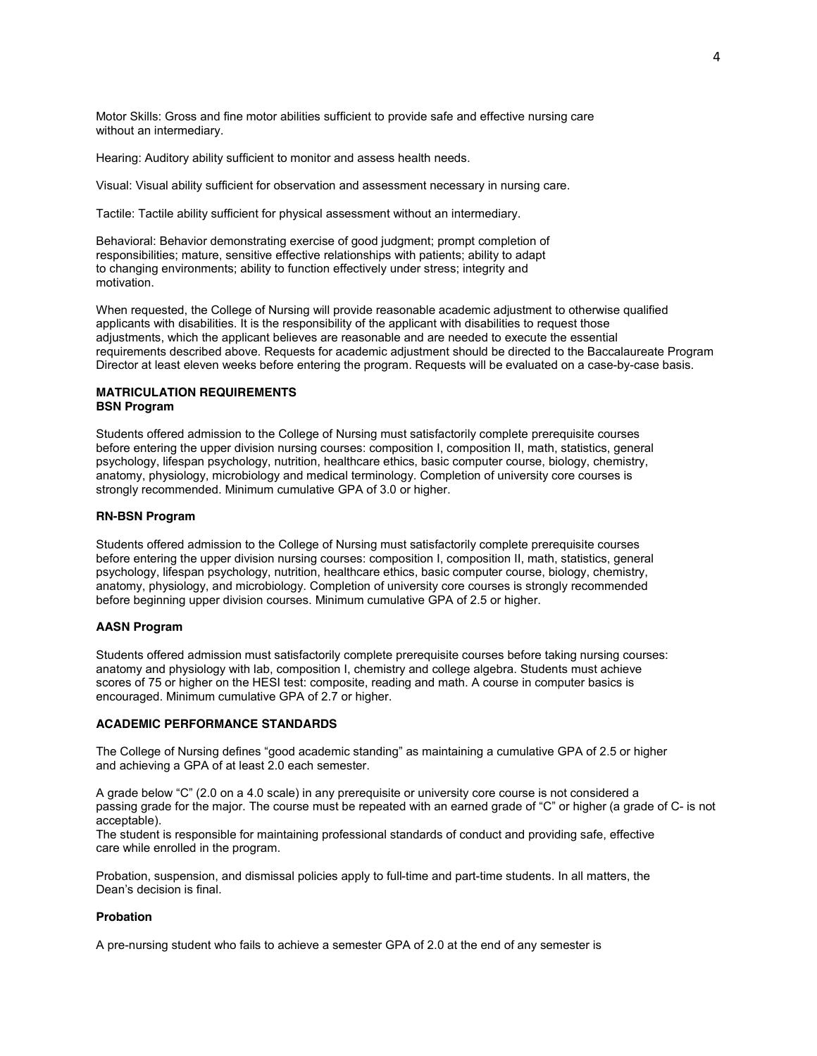Motor Skills: Gross and fine motor abilities sufficient to provide safe and effective nursing care without an intermediary.

Hearing: Auditory ability sufficient to monitor and assess health needs.

Visual: Visual ability sufficient for observation and assessment necessary in nursing care.

Tactile: Tactile ability sufficient for physical assessment without an intermediary.

Behavioral: Behavior demonstrating exercise of good judgment; prompt completion of responsibilities; mature, sensitive effective relationships with patients; ability to adapt to changing environments; ability to function effectively under stress; integrity and motivation.

When requested, the College of Nursing will provide reasonable academic adjustment to otherwise qualified applicants with disabilities. It is the responsibility of the applicant with disabilities to request those adjustments, which the applicant believes are reasonable and are needed to execute the essential requirements described above. Requests for academic adjustment should be directed to the Baccalaureate Program Director at least eleven weeks before entering the program. Requests will be evaluated on a case-by-case basis.

### **MATRICULATION REQUIREMENTS BSN Program**

Students offered admission to the College of Nursing must satisfactorily complete prerequisite courses before entering the upper division nursing courses: composition I, composition II, math, statistics, general psychology, lifespan psychology, nutrition, healthcare ethics, basic computer course, biology, chemistry, anatomy, physiology, microbiology and medical terminology. Completion of university core courses is strongly recommended. Minimum cumulative GPA of 3.0 or higher.

### **RN-BSN Program**

Students offered admission to the College of Nursing must satisfactorily complete prerequisite courses before entering the upper division nursing courses: composition I, composition II, math, statistics, general psychology, lifespan psychology, nutrition, healthcare ethics, basic computer course, biology, chemistry, anatomy, physiology, and microbiology. Completion of university core courses is strongly recommended before beginning upper division courses. Minimum cumulative GPA of 2.5 or higher.

### **AASN Program**

Students offered admission must satisfactorily complete prerequisite courses before taking nursing courses: anatomy and physiology with lab, composition I, chemistry and college algebra. Students must achieve scores of 75 or higher on the HESI test: composite, reading and math. A course in computer basics is encouraged. Minimum cumulative GPA of 2.7 or higher.

#### **ACADEMIC PERFORMANCE STANDARDS**

The College of Nursing defines "good academic standing" as maintaining a cumulative GPA of 2.5 or higher and achieving a GPA of at least 2.0 each semester.

A grade below "C" (2.0 on a 4.0 scale) in any prerequisite or university core course is not considered a passing grade for the major. The course must be repeated with an earned grade of "C" or higher (a grade of C- is not acceptable).

The student is responsible for maintaining professional standards of conduct and providing safe, effective care while enrolled in the program.

Probation, suspension, and dismissal policies apply to full-time and part-time students. In all matters, the Dean's decision is final.

# **Probation**

A pre-nursing student who fails to achieve a semester GPA of 2.0 at the end of any semester is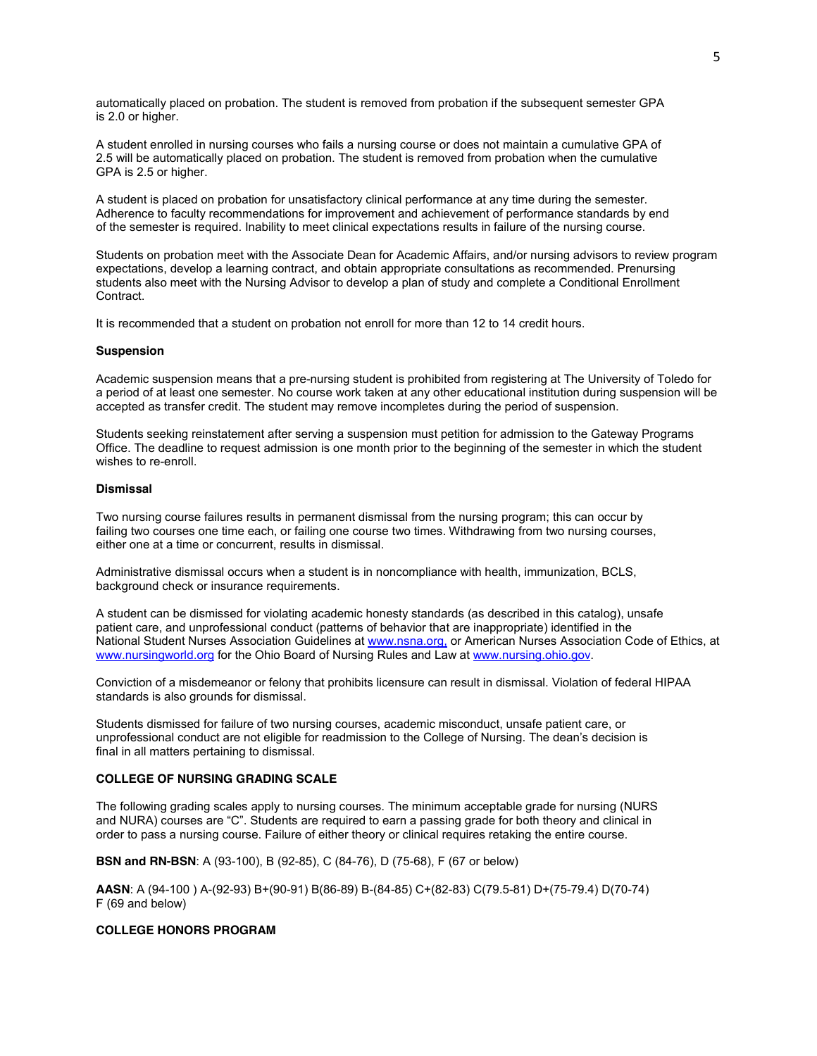automatically placed on probation. The student is removed from probation if the subsequent semester GPA is 2.0 or higher.

A student enrolled in nursing courses who fails a nursing course or does not maintain a cumulative GPA of 2.5 will be automatically placed on probation. The student is removed from probation when the cumulative GPA is 2.5 or higher.

A student is placed on probation for unsatisfactory clinical performance at any time during the semester. Adherence to faculty recommendations for improvement and achievement of performance standards by end of the semester is required. Inability to meet clinical expectations results in failure of the nursing course.

Students on probation meet with the Associate Dean for Academic Affairs, and/or nursing advisors to review program expectations, develop a learning contract, and obtain appropriate consultations as recommended. Prenursing students also meet with the Nursing Advisor to develop a plan of study and complete a Conditional Enrollment Contract.

It is recommended that a student on probation not enroll for more than 12 to 14 credit hours.

#### **Suspension**

Academic suspension means that a pre-nursing student is prohibited from registering at The University of Toledo for a period of at least one semester. No course work taken at any other educational institution during suspension will be accepted as transfer credit. The student may remove incompletes during the period of suspension.

Students seeking reinstatement after serving a suspension must petition for admission to the Gateway Programs Office. The deadline to request admission is one month prior to the beginning of the semester in which the student wishes to re-enroll.

### **Dismissal**

Two nursing course failures results in permanent dismissal from the nursing program; this can occur by failing two courses one time each, or failing one course two times. Withdrawing from two nursing courses, either one at a time or concurrent, results in dismissal.

Administrative dismissal occurs when a student is in noncompliance with health, immunization, BCLS, background check or insurance requirements.

A student can be dismissed for violating academic honesty standards (as described in this catalog), unsafe patient care, and unprofessional conduct (patterns of behavior that are inappropriate) identified in the National Student Nurses Association Guidelines a[t www.nsna.org,](file://localhost/Users/stacey_m/Downloads//utad.utoledo.edu/DFS$/Volumes/dpasch/word/BSN-Undergrad%20Program%20Documents/www.nsna.org,%20) or American Nurses Association Code of Ethics, at [www.nursingworld.org](http://www.nursingworld.org/) for the Ohio Board of Nursing Rules and Law a[t www.nursing.ohio.gov.](http://www.nursing.ohio.gov/)

Conviction of a misdemeanor or felony that prohibits licensure can result in dismissal. Violation of federal HIPAA standards is also grounds for dismissal.

Students dismissed for failure of two nursing courses, academic misconduct, unsafe patient care, or unprofessional conduct are not eligible for readmission to the College of Nursing. The dean's decision is final in all matters pertaining to dismissal.

# **COLLEGE OF NURSING GRADING SCALE**

The following grading scales apply to nursing courses. The minimum acceptable grade for nursing (NURS and NURA) courses are "C". Students are required to earn a passing grade for both theory and clinical in order to pass a nursing course. Failure of either theory or clinical requires retaking the entire course.

**BSN and RN-BSN**: A (93-100), B (92-85), C (84-76), D (75-68), F (67 or below)

**AASN**: A (94-100 ) A-(92-93) B+(90-91) B(86-89) B-(84-85) C+(82-83) C(79.5-81) D+(75-79.4) D(70-74) F (69 and below)

# **COLLEGE HONORS PROGRAM**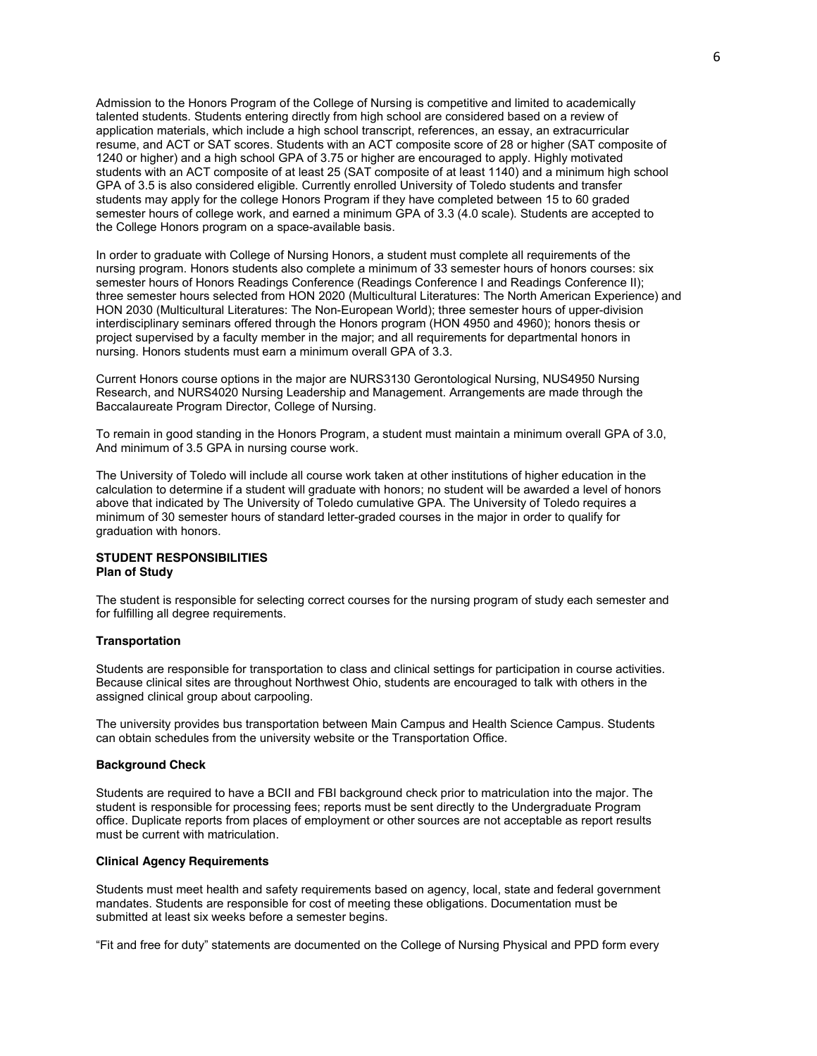Admission to the Honors Program of the College of Nursing is competitive and limited to academically talented students. Students entering directly from high school are considered based on a review of application materials, which include a high school transcript, references, an essay, an extracurricular resume, and ACT or SAT scores. Students with an ACT composite score of 28 or higher (SAT composite of 1240 or higher) and a high school GPA of 3.75 or higher are encouraged to apply. Highly motivated students with an ACT composite of at least 25 (SAT composite of at least 1140) and a minimum high school GPA of 3.5 is also considered eligible. Currently enrolled University of Toledo students and transfer students may apply for the college Honors Program if they have completed between 15 to 60 graded semester hours of college work, and earned a minimum GPA of 3.3 (4.0 scale). Students are accepted to the College Honors program on a space-available basis.

In order to graduate with College of Nursing Honors, a student must complete all requirements of the nursing program. Honors students also complete a minimum of 33 semester hours of honors courses: six semester hours of Honors Readings Conference (Readings Conference I and Readings Conference II); three semester hours selected from HON 2020 (Multicultural Literatures: The North American Experience) and HON 2030 (Multicultural Literatures: The Non-European World); three semester hours of upper-division interdisciplinary seminars offered through the Honors program (HON 4950 and 4960); honors thesis or project supervised by a faculty member in the major; and all requirements for departmental honors in nursing. Honors students must earn a minimum overall GPA of 3.3.

Current Honors course options in the major are NURS3130 Gerontological Nursing, NUS4950 Nursing Research, and NURS4020 Nursing Leadership and Management. Arrangements are made through the Baccalaureate Program Director, College of Nursing.

To remain in good standing in the Honors Program, a student must maintain a minimum overall GPA of 3.0, And minimum of 3.5 GPA in nursing course work.

The University of Toledo will include all course work taken at other institutions of higher education in the calculation to determine if a student will graduate with honors; no student will be awarded a level of honors above that indicated by The University of Toledo cumulative GPA. The University of Toledo requires a minimum of 30 semester hours of standard letter-graded courses in the major in order to qualify for graduation with honors.

# **STUDENT RESPONSIBILITIES Plan of Study**

The student is responsible for selecting correct courses for the nursing program of study each semester and for fulfilling all degree requirements.

### **Transportation**

Students are responsible for transportation to class and clinical settings for participation in course activities. Because clinical sites are throughout Northwest Ohio, students are encouraged to talk with others in the assigned clinical group about carpooling.

The university provides bus transportation between Main Campus and Health Science Campus. Students can obtain schedules from the university website or the Transportation Office.

#### **Background Check**

Students are required to have a BCII and FBI background check prior to matriculation into the major. The student is responsible for processing fees; reports must be sent directly to the Undergraduate Program office. Duplicate reports from places of employment or other sources are not acceptable as report results must be current with matriculation.

#### **Clinical Agency Requirements**

Students must meet health and safety requirements based on agency, local, state and federal government mandates. Students are responsible for cost of meeting these obligations. Documentation must be submitted at least six weeks before a semester begins.

"Fit and free for duty" statements are documented on the College of Nursing Physical and PPD form every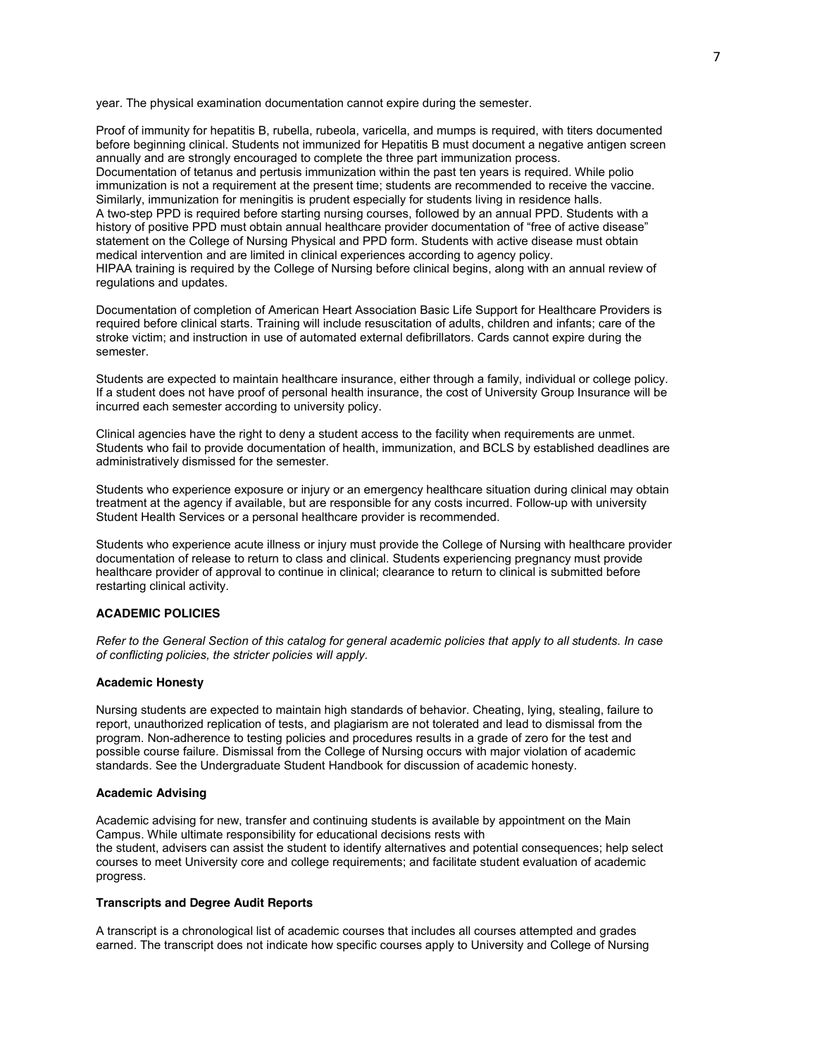year. The physical examination documentation cannot expire during the semester.

Proof of immunity for hepatitis B, rubella, rubeola, varicella, and mumps is required, with titers documented before beginning clinical. Students not immunized for Hepatitis B must document a negative antigen screen annually and are strongly encouraged to complete the three part immunization process. Documentation of tetanus and pertusis immunization within the past ten years is required. While polio immunization is not a requirement at the present time; students are recommended to receive the vaccine. Similarly, immunization for meningitis is prudent especially for students living in residence halls. A two-step PPD is required before starting nursing courses, followed by an annual PPD. Students with a history of positive PPD must obtain annual healthcare provider documentation of "free of active disease" statement on the College of Nursing Physical and PPD form. Students with active disease must obtain medical intervention and are limited in clinical experiences according to agency policy. HIPAA training is required by the College of Nursing before clinical begins, along with an annual review of regulations and updates.

Documentation of completion of American Heart Association Basic Life Support for Healthcare Providers is required before clinical starts. Training will include resuscitation of adults, children and infants; care of the stroke victim; and instruction in use of automated external defibrillators. Cards cannot expire during the semester.

Students are expected to maintain healthcare insurance, either through a family, individual or college policy. If a student does not have proof of personal health insurance, the cost of University Group Insurance will be incurred each semester according to university policy.

Clinical agencies have the right to deny a student access to the facility when requirements are unmet. Students who fail to provide documentation of health, immunization, and BCLS by established deadlines are administratively dismissed for the semester.

Students who experience exposure or injury or an emergency healthcare situation during clinical may obtain treatment at the agency if available, but are responsible for any costs incurred. Follow-up with university Student Health Services or a personal healthcare provider is recommended.

Students who experience acute illness or injury must provide the College of Nursing with healthcare provider documentation of release to return to class and clinical. Students experiencing pregnancy must provide healthcare provider of approval to continue in clinical; clearance to return to clinical is submitted before restarting clinical activity.

### **ACADEMIC POLICIES**

*Refer to the General Section of this catalog for general academic policies that apply to all students. In case of conflicting policies, the stricter policies will apply.*

### **Academic Honesty**

Nursing students are expected to maintain high standards of behavior. Cheating, lying, stealing, failure to report, unauthorized replication of tests, and plagiarism are not tolerated and lead to dismissal from the program. Non-adherence to testing policies and procedures results in a grade of zero for the test and possible course failure. Dismissal from the College of Nursing occurs with major violation of academic standards. See the Undergraduate Student Handbook for discussion of academic honesty.

### **Academic Advising**

Academic advising for new, transfer and continuing students is available by appointment on the Main Campus. While ultimate responsibility for educational decisions rests with the student, advisers can assist the student to identify alternatives and potential consequences; help select courses to meet University core and college requirements; and facilitate student evaluation of academic progress.

### **Transcripts and Degree Audit Reports**

A transcript is a chronological list of academic courses that includes all courses attempted and grades earned. The transcript does not indicate how specific courses apply to University and College of Nursing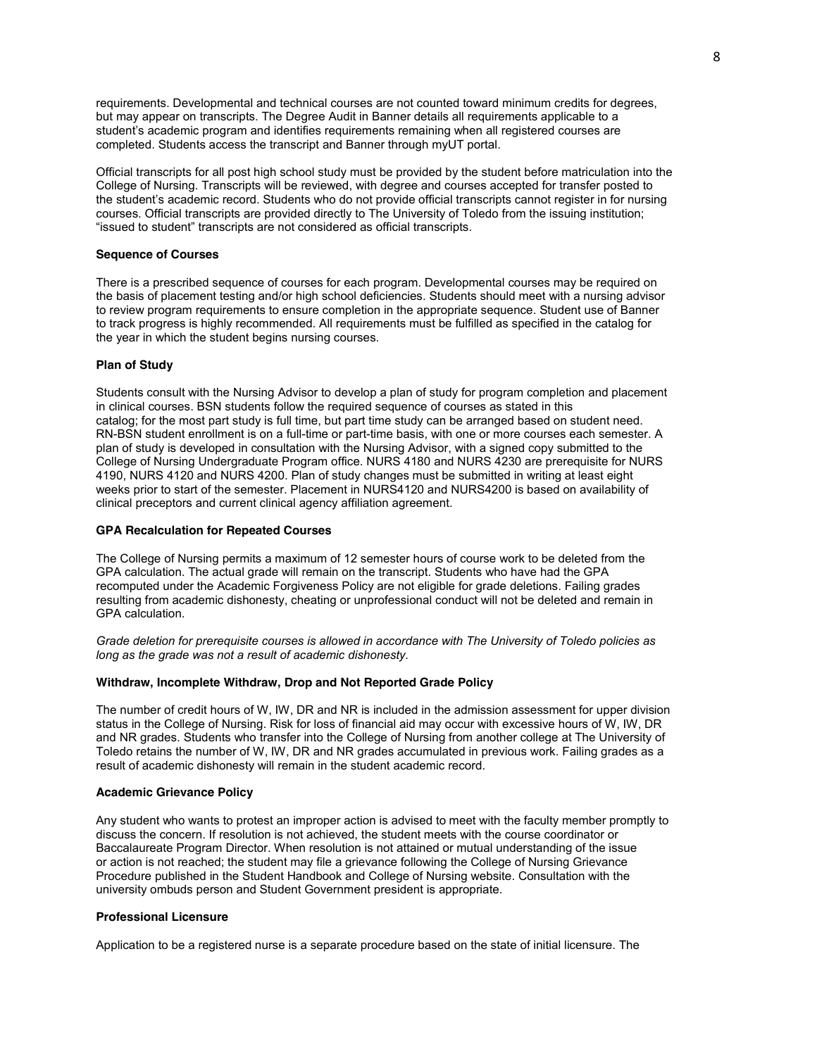requirements. Developmental and technical courses are not counted toward minimum credits for degrees, but may appear on transcripts. The Degree Audit in Banner details all requirements applicable to a student's academic program and identifies requirements remaining when all registered courses are completed. Students access the transcript and Banner through myUT portal.

Official transcripts for all post high school study must be provided by the student before matriculation into the College of Nursing. Transcripts will be reviewed, with degree and courses accepted for transfer posted to the student's academic record. Students who do not provide official transcripts cannot register in for nursing courses. Official transcripts are provided directly to The University of Toledo from the issuing institution; "issued to student" transcripts are not considered as official transcripts.

#### **Sequence of Courses**

There is a prescribed sequence of courses for each program. Developmental courses may be required on the basis of placement testing and/or high school deficiencies. Students should meet with a nursing advisor to review program requirements to ensure completion in the appropriate sequence. Student use of Banner to track progress is highly recommended. All requirements must be fulfilled as specified in the catalog for the year in which the student begins nursing courses.

### **Plan of Study**

Students consult with the Nursing Advisor to develop a plan of study for program completion and placement in clinical courses. BSN students follow the required sequence of courses as stated in this catalog; for the most part study is full time, but part time study can be arranged based on student need. RN-BSN student enrollment is on a full-time or part-time basis, with one or more courses each semester. A plan of study is developed in consultation with the Nursing Advisor, with a signed copy submitted to the College of Nursing Undergraduate Program office. NURS 4180 and NURS 4230 are prerequisite for NURS 4190, NURS 4120 and NURS 4200. Plan of study changes must be submitted in writing at least eight weeks prior to start of the semester. Placement in NURS4120 and NURS4200 is based on availability of clinical preceptors and current clinical agency affiliation agreement.

#### **GPA Recalculation for Repeated Courses**

The College of Nursing permits a maximum of 12 semester hours of course work to be deleted from the GPA calculation. The actual grade will remain on the transcript. Students who have had the GPA recomputed under the Academic Forgiveness Policy are not eligible for grade deletions. Failing grades resulting from academic dishonesty, cheating or unprofessional conduct will not be deleted and remain in GPA calculation.

*Grade deletion for prerequisite courses is allowed in accordance with The University of Toledo policies as long as the grade was not a result of academic dishonesty.*

### **Withdraw, Incomplete Withdraw, Drop and Not Reported Grade Policy**

The number of credit hours of W, IW, DR and NR is included in the admission assessment for upper division status in the College of Nursing. Risk for loss of financial aid may occur with excessive hours of W, IW, DR and NR grades. Students who transfer into the College of Nursing from another college at The University of Toledo retains the number of W, IW, DR and NR grades accumulated in previous work. Failing grades as a result of academic dishonesty will remain in the student academic record.

#### **Academic Grievance Policy**

Any student who wants to protest an improper action is advised to meet with the faculty member promptly to discuss the concern. If resolution is not achieved, the student meets with the course coordinator or Baccalaureate Program Director. When resolution is not attained or mutual understanding of the issue or action is not reached; the student may file a grievance following the College of Nursing Grievance Procedure published in the Student Handbook and College of Nursing website. Consultation with the university ombuds person and Student Government president is appropriate.

### **Professional Licensure**

Application to be a registered nurse is a separate procedure based on the state of initial licensure. The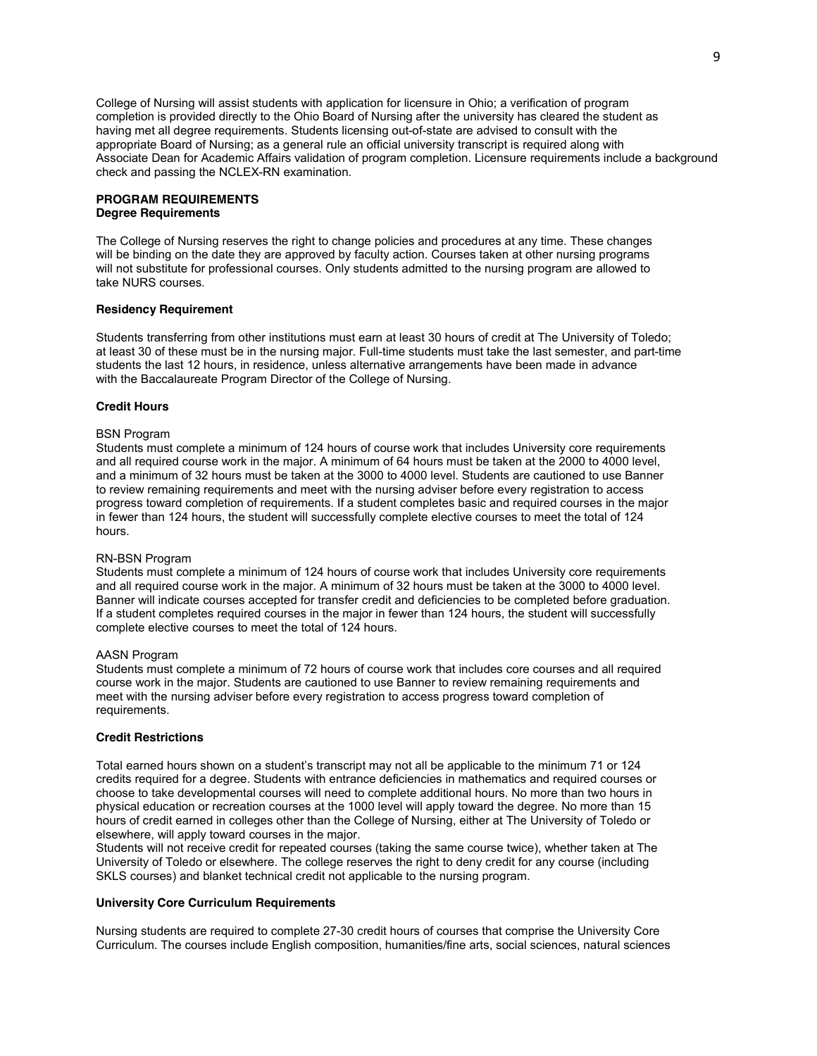College of Nursing will assist students with application for licensure in Ohio; a verification of program completion is provided directly to the Ohio Board of Nursing after the university has cleared the student as having met all degree requirements. Students licensing out-of-state are advised to consult with the appropriate Board of Nursing; as a general rule an official university transcript is required along with Associate Dean for Academic Affairs validation of program completion. Licensure requirements include a background check and passing the NCLEX-RN examination.

#### **PROGRAM REQUIREMENTS Degree Requirements**

The College of Nursing reserves the right to change policies and procedures at any time. These changes will be binding on the date they are approved by faculty action. Courses taken at other nursing programs will not substitute for professional courses. Only students admitted to the nursing program are allowed to take NURS courses.

#### **Residency Requirement**

Students transferring from other institutions must earn at least 30 hours of credit at The University of Toledo; at least 30 of these must be in the nursing major. Full-time students must take the last semester, and part-time students the last 12 hours, in residence, unless alternative arrangements have been made in advance with the Baccalaureate Program Director of the College of Nursing.

### **Credit Hours**

# BSN Program

Students must complete a minimum of 124 hours of course work that includes University core requirements and all required course work in the major. A minimum of 64 hours must be taken at the 2000 to 4000 level, and a minimum of 32 hours must be taken at the 3000 to 4000 level. Students are cautioned to use Banner to review remaining requirements and meet with the nursing adviser before every registration to access progress toward completion of requirements. If a student completes basic and required courses in the major in fewer than 124 hours, the student will successfully complete elective courses to meet the total of 124 hours.

#### RN-BSN Program

Students must complete a minimum of 124 hours of course work that includes University core requirements and all required course work in the major. A minimum of 32 hours must be taken at the 3000 to 4000 level. Banner will indicate courses accepted for transfer credit and deficiencies to be completed before graduation. If a student completes required courses in the major in fewer than 124 hours, the student will successfully complete elective courses to meet the total of 124 hours.

#### AASN Program

Students must complete a minimum of 72 hours of course work that includes core courses and all required course work in the major. Students are cautioned to use Banner to review remaining requirements and meet with the nursing adviser before every registration to access progress toward completion of requirements.

#### **Credit Restrictions**

Total earned hours shown on a student's transcript may not all be applicable to the minimum 71 or 124 credits required for a degree. Students with entrance deficiencies in mathematics and required courses or choose to take developmental courses will need to complete additional hours. No more than two hours in physical education or recreation courses at the 1000 level will apply toward the degree. No more than 15 hours of credit earned in colleges other than the College of Nursing, either at The University of Toledo or elsewhere, will apply toward courses in the major.

Students will not receive credit for repeated courses (taking the same course twice), whether taken at The University of Toledo or elsewhere. The college reserves the right to deny credit for any course (including SKLS courses) and blanket technical credit not applicable to the nursing program.

### **University Core Curriculum Requirements**

Nursing students are required to complete 27-30 credit hours of courses that comprise the University Core Curriculum. The courses include English composition, humanities/fine arts, social sciences, natural sciences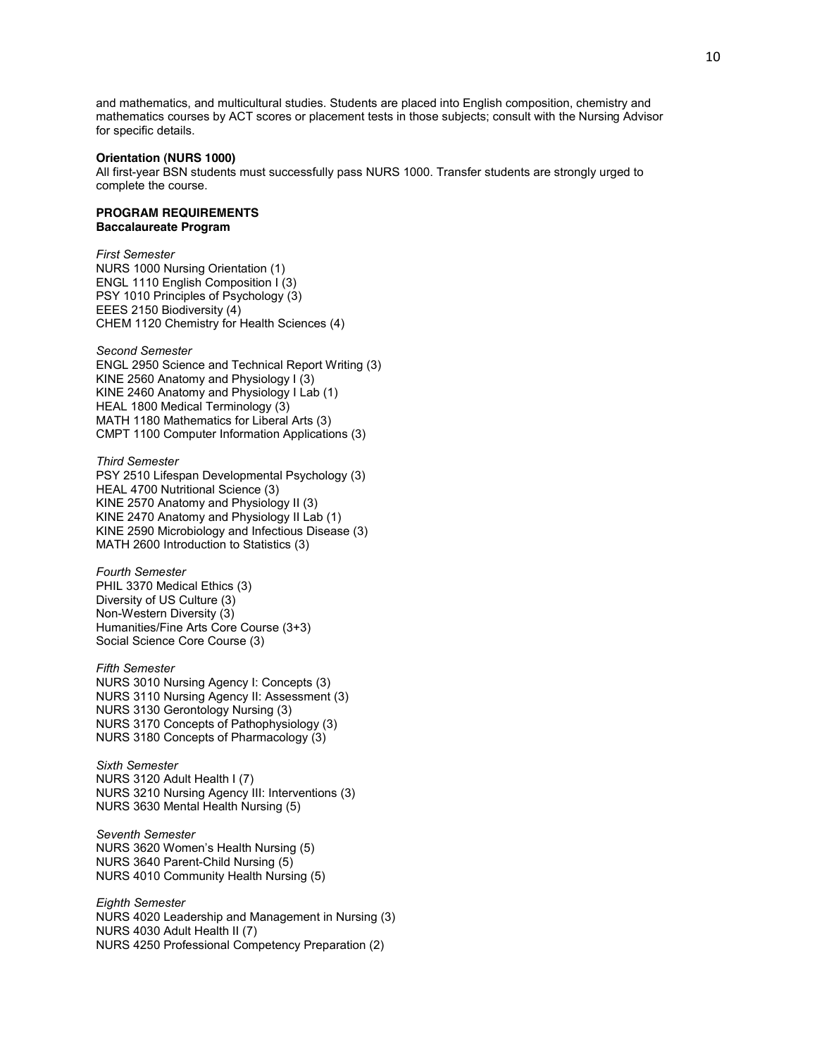and mathematics, and multicultural studies. Students are placed into English composition, chemistry and mathematics courses by ACT scores or placement tests in those subjects; consult with the Nursing Advisor for specific details.

### **Orientation (NURS 1000)**

All first-year BSN students must successfully pass NURS 1000. Transfer students are strongly urged to complete the course.

# **PROGRAM REQUIREMENTS Baccalaureate Program**

*First Semester* NURS 1000 Nursing Orientation (1) ENGL 1110 English Composition I (3) PSY 1010 Principles of Psychology (3) EEES 2150 Biodiversity (4) CHEM 1120 Chemistry for Health Sciences (4)

*Second Semester* ENGL 2950 Science and Technical Report Writing (3) KINE 2560 Anatomy and Physiology I (3)

KINE 2460 Anatomy and Physiology I Lab (1) HEAL 1800 Medical Terminology (3) MATH 1180 Mathematics for Liberal Arts (3) CMPT 1100 Computer Information Applications (3)

### *Third Semester*

PSY 2510 Lifespan Developmental Psychology (3) HEAL 4700 Nutritional Science (3) KINE 2570 Anatomy and Physiology II (3) KINE 2470 Anatomy and Physiology II Lab (1) KINE 2590 Microbiology and Infectious Disease (3) MATH 2600 Introduction to Statistics (3)

*Fourth Semester* PHIL 3370 Medical Ethics (3) Diversity of US Culture (3) Non-Western Diversity (3) Humanities/Fine Arts Core Course (3+3) Social Science Core Course (3)

*Fifth Semester* NURS 3010 Nursing Agency I: Concepts (3) NURS 3110 Nursing Agency II: Assessment (3) NURS 3130 Gerontology Nursing (3) NURS 3170 Concepts of Pathophysiology (3) NURS 3180 Concepts of Pharmacology (3)

*Sixth Semester* NURS 3120 Adult Health I (7) NURS 3210 Nursing Agency III: Interventions (3) NURS 3630 Mental Health Nursing (5)

*Seventh Semester* NURS 3620 Women's Health Nursing (5) NURS 3640 Parent-Child Nursing (5) NURS 4010 Community Health Nursing (5)

*Eighth Semester* NURS 4020 Leadership and Management in Nursing (3) NURS 4030 Adult Health II (7) NURS 4250 Professional Competency Preparation (2)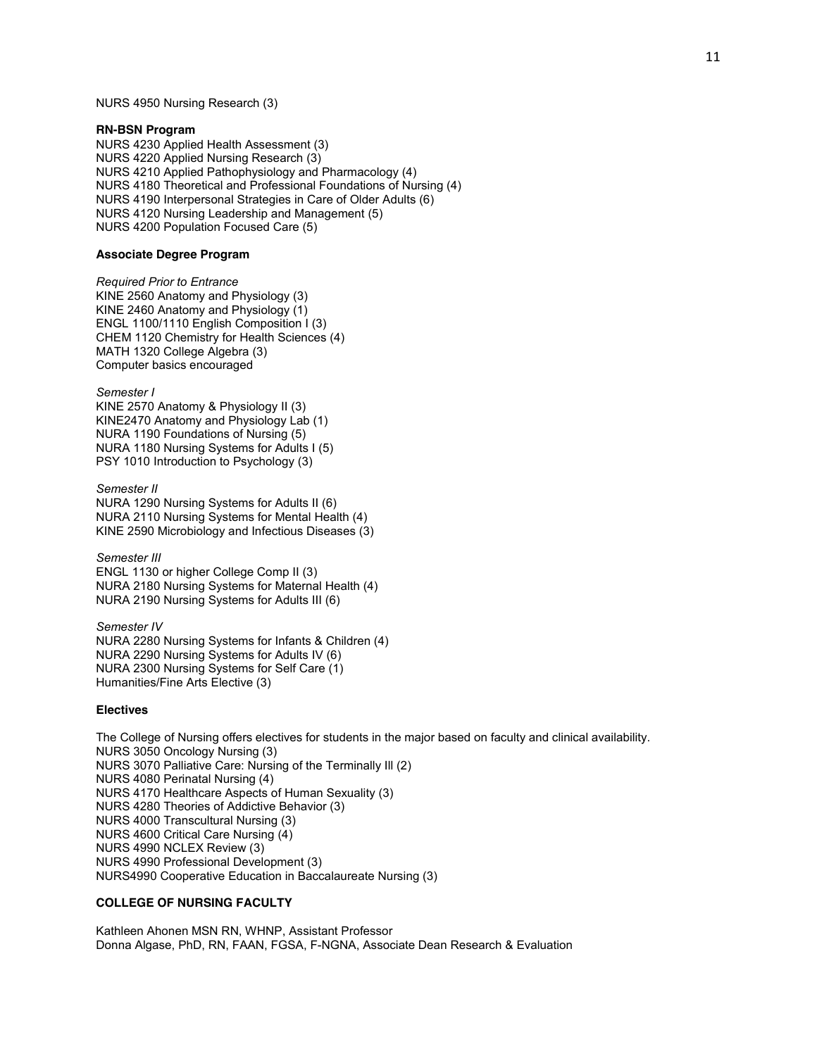NURS 4950 Nursing Research (3)

### **RN-BSN Program**

NURS 4230 Applied Health Assessment (3) NURS 4220 Applied Nursing Research (3) NURS 4210 Applied Pathophysiology and Pharmacology (4) NURS 4180 Theoretical and Professional Foundations of Nursing (4) NURS 4190 Interpersonal Strategies in Care of Older Adults (6) NURS 4120 Nursing Leadership and Management (5) NURS 4200 Population Focused Care (5)

#### **Associate Degree Program**

*Required Prior to Entrance* KINE 2560 Anatomy and Physiology (3) KINE 2460 Anatomy and Physiology (1) ENGL 1100/1110 English Composition I (3) CHEM 1120 Chemistry for Health Sciences (4) MATH 1320 College Algebra (3) Computer basics encouraged

*Semester I* KINE 2570 Anatomy & Physiology II (3) KINE2470 Anatomy and Physiology Lab (1) NURA 1190 Foundations of Nursing (5) NURA 1180 Nursing Systems for Adults I (5) PSY 1010 Introduction to Psychology (3)

*Semester II* NURA 1290 Nursing Systems for Adults II (6) NURA 2110 Nursing Systems for Mental Health (4) KINE 2590 Microbiology and Infectious Diseases (3)

*Semester III* ENGL 1130 or higher College Comp II (3) NURA 2180 Nursing Systems for Maternal Health (4) NURA 2190 Nursing Systems for Adults III (6)

*Semester IV* NURA 2280 Nursing Systems for Infants & Children (4) NURA 2290 Nursing Systems for Adults IV (6) NURA 2300 Nursing Systems for Self Care (1) Humanities/Fine Arts Elective (3)

### **Electives**

The College of Nursing offers electives for students in the major based on faculty and clinical availability. NURS 3050 Oncology Nursing (3) NURS 3070 Palliative Care: Nursing of the Terminally Ill (2) NURS 4080 Perinatal Nursing (4) NURS 4170 Healthcare Aspects of Human Sexuality (3) NURS 4280 Theories of Addictive Behavior (3) NURS 4000 Transcultural Nursing (3) NURS 4600 Critical Care Nursing (4) NURS 4990 NCLEX Review (3) NURS 4990 Professional Development (3) NURS4990 Cooperative Education in Baccalaureate Nursing (3)

# **COLLEGE OF NURSING FACULTY**

Kathleen Ahonen MSN RN, WHNP, Assistant Professor Donna Algase, PhD, RN, FAAN, FGSA, F-NGNA, Associate Dean Research & Evaluation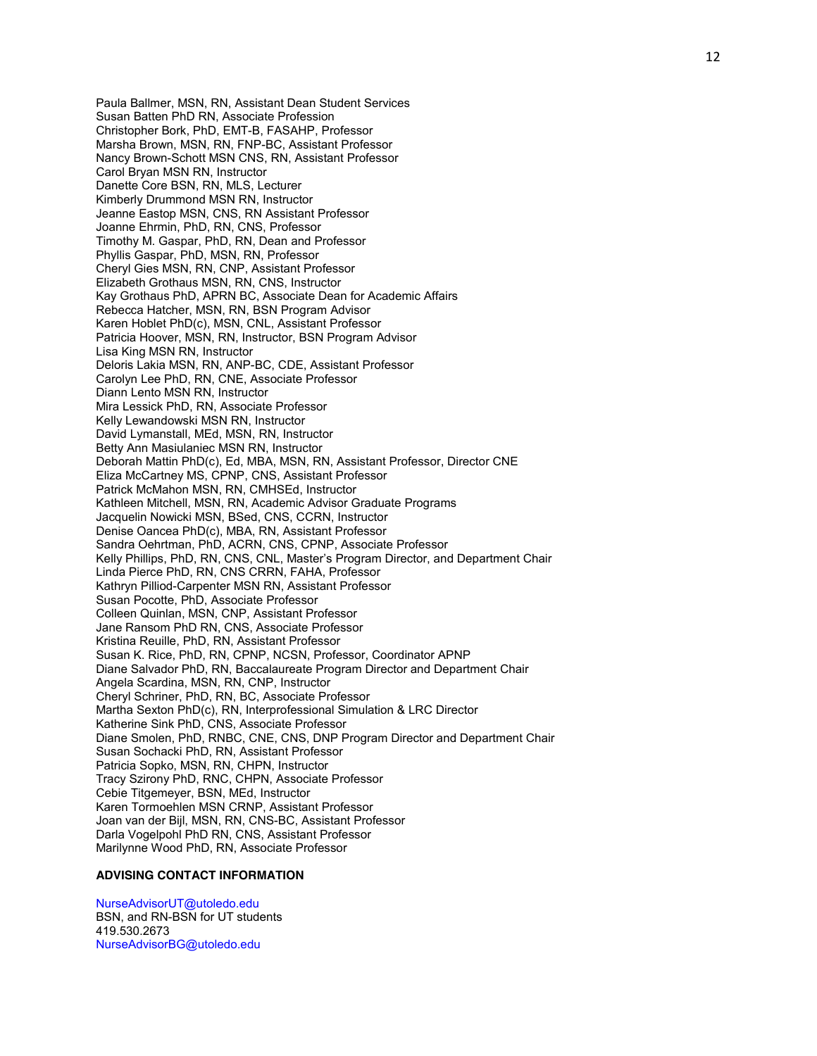Paula Ballmer, MSN, RN, Assistant Dean Student Services Susan Batten PhD RN, Associate Profession Christopher Bork, PhD, EMT-B, FASAHP, Professor Marsha Brown, MSN, RN, FNP-BC, Assistant Professor Nancy Brown-Schott MSN CNS, RN, Assistant Professor Carol Bryan MSN RN, Instructor Danette Core BSN, RN, MLS, Lecturer Kimberly Drummond MSN RN, Instructor Jeanne Eastop MSN, CNS, RN Assistant Professor Joanne Ehrmin, PhD, RN, CNS, Professor Timothy M. Gaspar, PhD, RN, Dean and Professor Phyllis Gaspar, PhD, MSN, RN, Professor Cheryl Gies MSN, RN, CNP, Assistant Professor Elizabeth Grothaus MSN, RN, CNS, Instructor Kay Grothaus PhD, APRN BC, Associate Dean for Academic Affairs Rebecca Hatcher, MSN, RN, BSN Program Advisor Karen Hoblet PhD(c), MSN, CNL, Assistant Professor Patricia Hoover, MSN, RN, Instructor, BSN Program Advisor Lisa King MSN RN, Instructor Deloris Lakia MSN, RN, ANP-BC, CDE, Assistant Professor Carolyn Lee PhD, RN, CNE, Associate Professor Diann Lento MSN RN, Instructor Mira Lessick PhD, RN, Associate Professor Kelly Lewandowski MSN RN, Instructor David Lymanstall, MEd, MSN, RN, Instructor Betty Ann Masiulaniec MSN RN, Instructor Deborah Mattin PhD(c), Ed, MBA, MSN, RN, Assistant Professor, Director CNE Eliza McCartney MS, CPNP, CNS, Assistant Professor Patrick McMahon MSN, RN, CMHSEd, Instructor Kathleen Mitchell, MSN, RN, Academic Advisor Graduate Programs Jacquelin Nowicki MSN, BSed, CNS, CCRN, Instructor Denise Oancea PhD(c), MBA, RN, Assistant Professor Sandra Oehrtman, PhD, ACRN, CNS, CPNP, Associate Professor Kelly Phillips, PhD, RN, CNS, CNL, Master's Program Director, and Department Chair Linda Pierce PhD, RN, CNS CRRN, FAHA, Professor Kathryn Pilliod-Carpenter MSN RN, Assistant Professor Susan Pocotte, PhD, Associate Professor Colleen Quinlan, MSN, CNP, Assistant Professor Jane Ransom PhD RN, CNS, Associate Professor Kristina Reuille, PhD, RN, Assistant Professor Susan K. Rice, PhD, RN, CPNP, NCSN, Professor, Coordinator APNP Diane Salvador PhD, RN, Baccalaureate Program Director and Department Chair Angela Scardina, MSN, RN, CNP, Instructor Cheryl Schriner, PhD, RN, BC, Associate Professor Martha Sexton PhD(c), RN, Interprofessional Simulation & LRC Director Katherine Sink PhD, CNS, Associate Professor Diane Smolen, PhD, RNBC, CNE, CNS, DNP Program Director and Department Chair Susan Sochacki PhD, RN, Assistant Professor Patricia Sopko, MSN, RN, CHPN, Instructor Tracy Szirony PhD, RNC, CHPN, Associate Professor Cebie Titgemeyer, BSN, MEd, Instructor Karen Tormoehlen MSN CRNP, Assistant Professor Joan van der Bijl, MSN, RN, CNS-BC, Assistant Professor Darla Vogelpohl PhD RN, CNS, Assistant Professor Marilynne Wood PhD, RN, Associate Professor

### **ADVISING CONTACT INFORMATION**

NurseAdvisorUT@utoledo.edu BSN, and RN-BSN for UT students 419.530.2673 NurseAdvisorBG@utoledo.edu